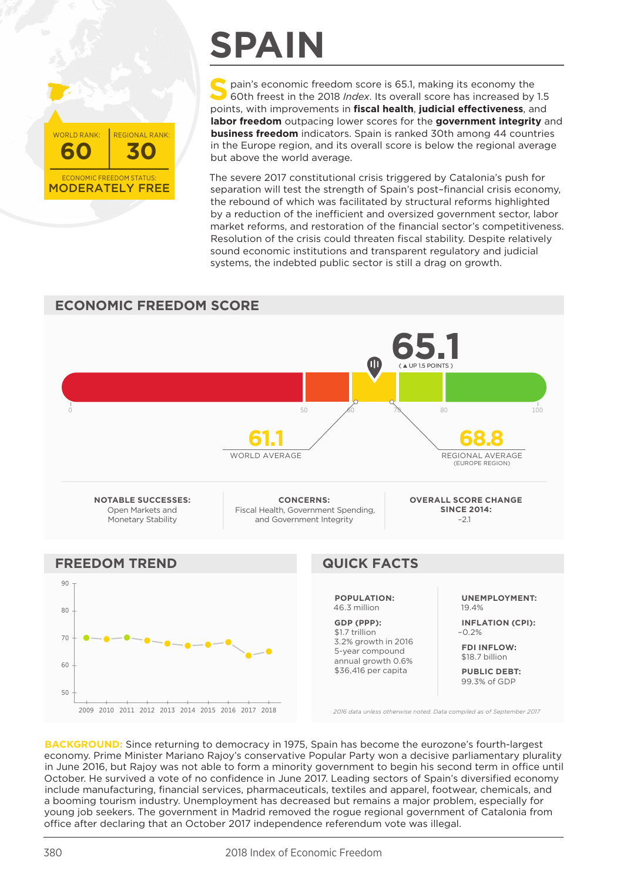MODERATELY FREE **60 30** ECONOMIC FREEDOM STATUS: WORLD RANK: | REGIONAL RANK:

## **SPAIN**

**S** pain's economic freedom score is 65.1, making its economy the 60th freest in the 2018 *Index*. Its overall score has increased by 1.5 points, with improvements in **fiscal health**, **judicial effectiveness**, and **labor freedom** outpacing lower scores for the **government integrity** and **business freedom** indicators. Spain is ranked 30th among 44 countries in the Europe region, and its overall score is below the regional average but above the world average.

The severe 2017 constitutional crisis triggered by Catalonia's push for separation will test the strength of Spain's post–financial crisis economy, the rebound of which was facilitated by structural reforms highlighted by a reduction of the inefficient and oversized government sector, labor market reforms, and restoration of the financial sector's competitiveness. Resolution of the crisis could threaten fiscal stability. Despite relatively sound economic institutions and transparent regulatory and judicial systems, the indebted public sector is still a drag on growth.

## **ECONOMIC FREEDOM SCORE 65.1** Œ 0 60 60 60 60 60 60 60 60 60 60 70 80 50  $\sqrt{60}$  70 80 50  $\sqrt{100}$ **61.1 68.8** WORLD AVERAGE REGIONAL AVERAGE (EUROPE REGION) **NOTABLE SUCCESSES: CONCERNS: OVERALL SCORE CHANGE**  Open Markets and Fiscal Health, Government Spending, **SINCE 2014:** Monetary Stability and Government Integrity –2.1 **FREEDOM TREND QUICK FACTS** 90 **UNEMPLOYMENT: POPULATION:** 46.3 million 19.4% 80 **GDP (PPP): INFLATION (CPI):** \$1.7 trillion –0.2% 70 3.2% growth in 2016 **FDI INFLOW:** 5-year compound \$18.7 billion annual growth 0.6%  $60$ \$36,416 per capita **PUBLIC DEBT:** 99.3% of GDP $50$ 2009 2010 2011 2012 2013 2014 2015 2016 2017 2018 *2016 data unless otherwise noted. Data compiled as of September 2017*

**BACKGROUND:** Since returning to democracy in 1975, Spain has become the eurozone's fourth-largest economy. Prime Minister Mariano Rajoy's conservative Popular Party won a decisive parliamentary plurality in June 2016, but Rajoy was not able to form a minority government to begin his second term in office until October. He survived a vote of no confidence in June 2017. Leading sectors of Spain's diversified economy include manufacturing, financial services, pharmaceuticals, textiles and apparel, footwear, chemicals, and a booming tourism industry. Unemployment has decreased but remains a major problem, especially for young job seekers. The government in Madrid removed the rogue regional government of Catalonia from office after declaring that an October 2017 independence referendum vote was illegal.